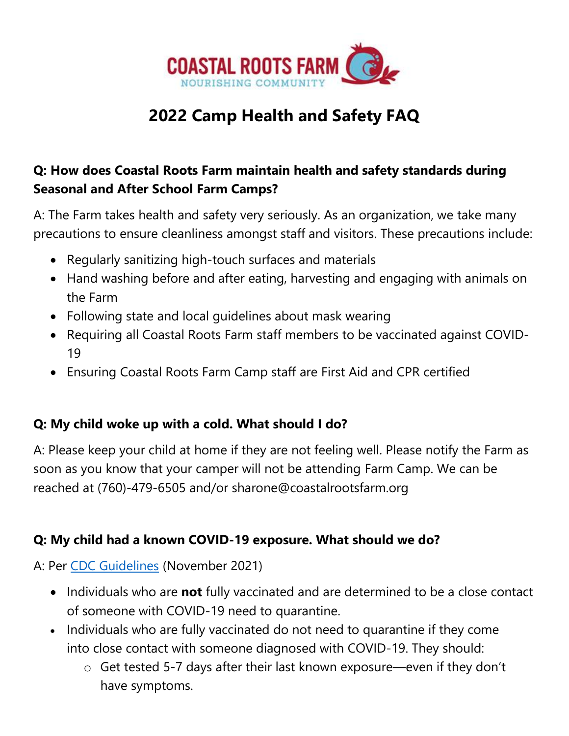

# **2022 Camp Health and Safety FAQ**

### **Q: How does Coastal Roots Farm maintain health and safety standards during Seasonal and After School Farm Camps?**

A: The Farm takes health and safety very seriously. As an organization, we take many precautions to ensure cleanliness amongst staff and visitors. These precautions include:

- Regularly sanitizing high-touch surfaces and materials
- Hand washing before and after eating, harvesting and engaging with animals on the Farm
- Following state and local guidelines about mask wearing
- Requiring all Coastal Roots Farm staff members to be vaccinated against COVID-19
- Ensuring Coastal Roots Farm Camp staff are First Aid and CPR certified

#### **Q: My child woke up with a cold. What should I do?**

A: Please keep your child at home if they are not feeling well. Please notify the Farm as soon as you know that your camper will not be attending Farm Camp. We can be reached at (760)-479-6505 and/or sharone@coastalrootsfarm.org

#### **Q: My child had a known COVID-19 exposure. What should we do?**

A: Per [CDC Guidelines](https://www.cdc.gov/coronavirus/2019-ncov/community/schools-childcare/k-12-contact-tracing/about-quarantine.html) (November 2021)

- Individuals who are **not** fully vaccinated and are determined to be a close contact of someone with COVID-19 need to quarantine.
- Individuals who are fully vaccinated do not need to quarantine if they come into close contact with someone diagnosed with COVID-19. They should:
	- o Get tested 5-7 days after their last known exposure—even if they don't have symptoms.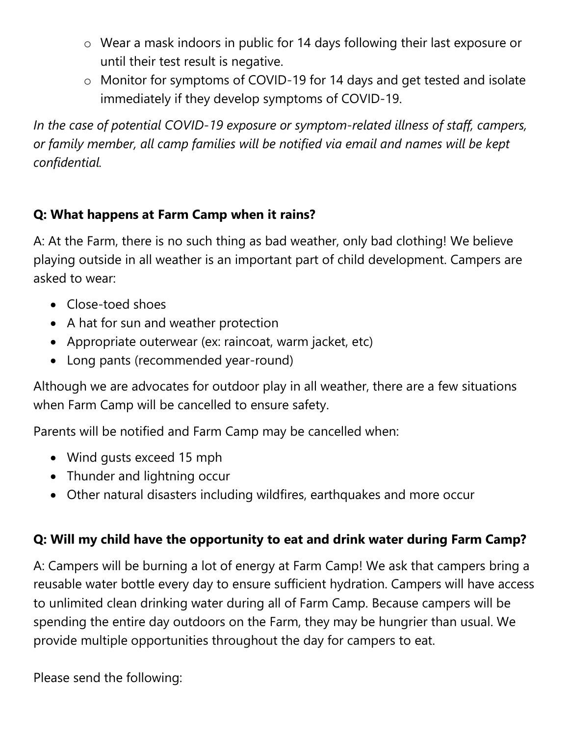- o Wear a mask indoors in public for 14 days following their last exposure or until their test result is negative.
- o Monitor for symptoms of COVID-19 for 14 days and get tested and isolate immediately if they develop symptoms of COVID-19.

*In the case of potential COVID-19 exposure or symptom-related illness of staff, campers, or family member, all camp families will be notified via email and names will be kept confidential.* 

### **Q: What happens at Farm Camp when it rains?**

A: At the Farm, there is no such thing as bad weather, only bad clothing! We believe playing outside in all weather is an important part of child development. Campers are asked to wear:

- Close-toed shoes
- A hat for sun and weather protection
- Appropriate outerwear (ex: raincoat, warm jacket, etc)
- Long pants (recommended year-round)

Although we are advocates for outdoor play in all weather, there are a few situations when Farm Camp will be cancelled to ensure safety.

Parents will be notified and Farm Camp may be cancelled when:

- Wind gusts exceed 15 mph
- Thunder and lightning occur
- Other natural disasters including wildfires, earthquakes and more occur

## **Q: Will my child have the opportunity to eat and drink water during Farm Camp?**

A: Campers will be burning a lot of energy at Farm Camp! We ask that campers bring a reusable water bottle every day to ensure sufficient hydration. Campers will have access to unlimited clean drinking water during all of Farm Camp. Because campers will be spending the entire day outdoors on the Farm, they may be hungrier than usual. We provide multiple opportunities throughout the day for campers to eat.

Please send the following: